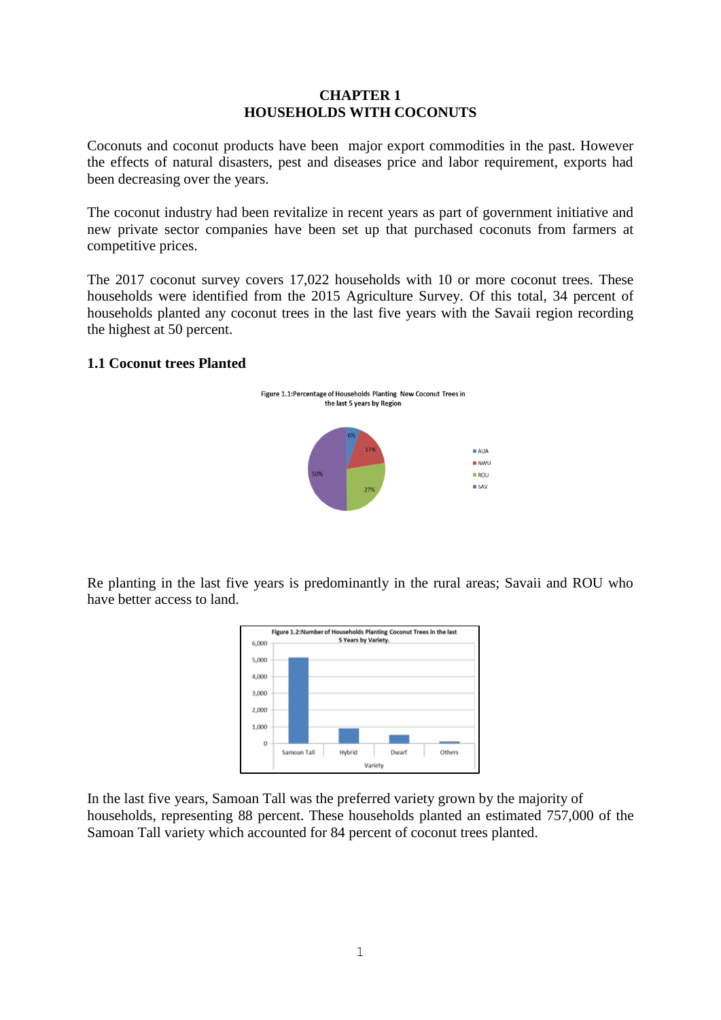### **CHAPTER 1 HOUSEHOLDS WITH COCONUTS**

Coconuts and coconut products have been major export commodities in the past. However the effects of natural disasters, pest and diseases price and labor requirement, exports had been decreasing over the years.

The coconut industry had been revitalize in recent years as part of government initiative and new private sector companies have been set up that purchased coconuts from farmers at competitive prices.

The 2017 coconut survey covers 17,022 households with 10 or more coconut trees. These households were identified from the 2015 Agriculture Survey. Of this total, 34 percent of households planted any coconut trees in the last five years with the Savaii region recording the highest at 50 percent.

### **1.1 Coconut trees Planted**



Re planting in the last five years is predominantly in the rural areas; Savaii and ROU who have better access to land.



In the last five years, Samoan Tall was the preferred variety grown by the majority of households, representing 88 percent. These households planted an estimated 757,000 of the Samoan Tall variety which accounted for 84 percent of coconut trees planted.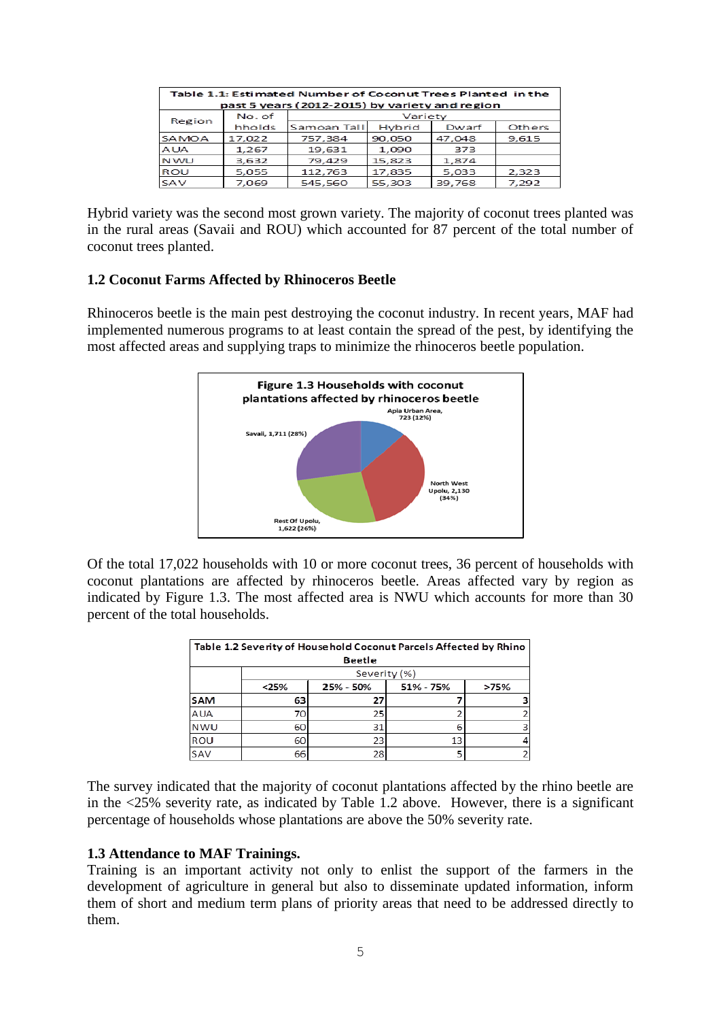| Table 1.1: Estimated Number of Coconut Trees Planted in the |        |             |        |        |        |  |
|-------------------------------------------------------------|--------|-------------|--------|--------|--------|--|
| past 5 years (2012-2015) by variety and region              |        |             |        |        |        |  |
| Region                                                      | No. of | Variety     |        |        |        |  |
|                                                             | hholds | Samoan Tall | Hybrid | Dwarf  | Others |  |
| SAMOA                                                       | 17,022 | 757,384     | 90,050 | 47,048 | 9,615  |  |
| <b>AUA</b>                                                  | 1,267  | 19,631      | 1,090  | 373    |        |  |
| <b>NWU</b>                                                  | 3.632  | 79,429      | 15.823 | 1.874  |        |  |
| ROU                                                         | 5,055  | 112,763     | 17,835 | 5,033  | 2,323  |  |
| SAV                                                         | 7.069  | 545,560     | 55,303 | 39,768 | 7,292  |  |

Hybrid variety was the second most grown variety. The majority of coconut trees planted was in the rural areas (Savaii and ROU) which accounted for 87 percent of the total number of coconut trees planted.

### **1.2 Coconut Farms Affected by Rhinoceros Beetle**

Rhinoceros beetle is the main pest destroying the coconut industry. In recent years, MAF had implemented numerous programs to at least contain the spread of the pest, by identifying the most affected areas and supplying traps to minimize the rhinoceros beetle population.



Of the total 17,022 households with 10 or more coconut trees, 36 percent of households with coconut plantations are affected by rhinoceros beetle. Areas affected vary by region as indicated by Figure 1.3. The most affected area is NWU which accounts for more than 30 percent of the total households.

| Table 1.2 Severity of Household Coconut Parcels Affected by Rhino |              |           |           |      |  |  |
|-------------------------------------------------------------------|--------------|-----------|-----------|------|--|--|
| <b>Beetle</b>                                                     |              |           |           |      |  |  |
|                                                                   | Severity (%) |           |           |      |  |  |
|                                                                   | < 25%        | 25% - 50% | 51% - 75% | >75% |  |  |
| <b>SAM</b>                                                        | 63           | 27        |           |      |  |  |
| <b>AUA</b>                                                        | 70           | 25        |           |      |  |  |
| <b>NWU</b>                                                        | 60           | 31        |           |      |  |  |
| ROU                                                               | 60           | 23        | 13        |      |  |  |
| SAV                                                               | 66           | 28        |           |      |  |  |

The survey indicated that the majority of coconut plantations affected by the rhino beetle are in the <25% severity rate, as indicated by Table 1.2 above. However, there is a significant percentage of households whose plantations are above the 50% severity rate.

### **1.3 Attendance to MAF Trainings.**

Training is an important activity not only to enlist the support of the farmers in the development of agriculture in general but also to disseminate updated information, inform them of short and medium term plans of priority areas that need to be addressed directly to them.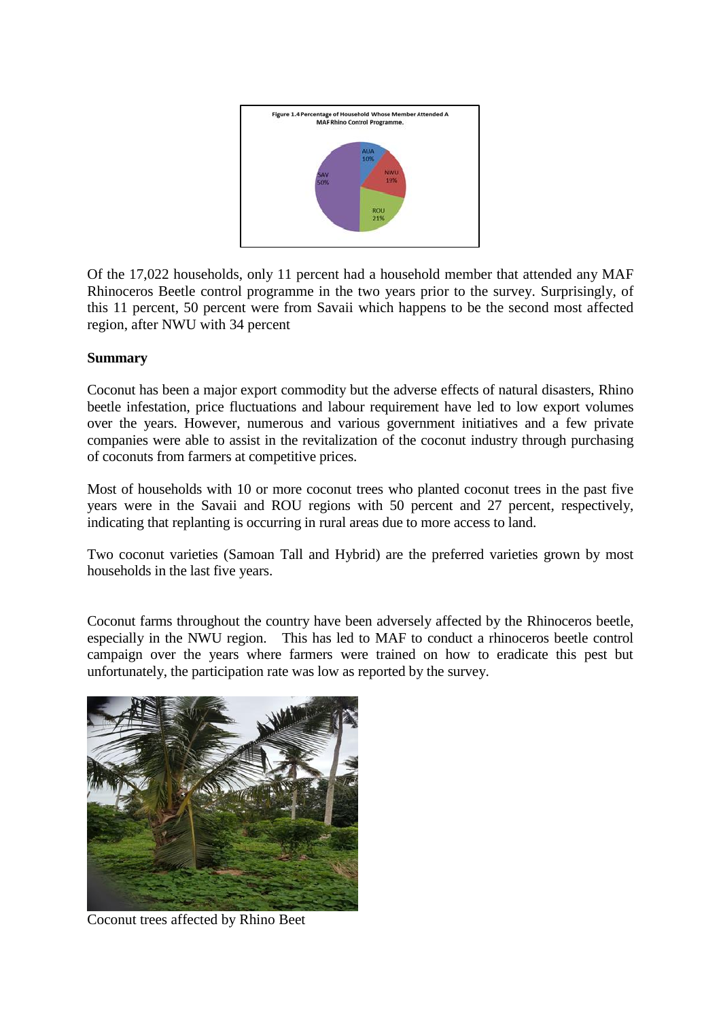

Of the 17,022 households, only 11 percent had a household member that attended any MAF Rhinoceros Beetle control programme in the two years prior to the survey. Surprisingly, of this 11 percent, 50 percent were from Savaii which happens to be the second most affected region, after NWU with 34 percent

## **Summary**

Coconut has been a major export commodity but the adverse effects of natural disasters, Rhino beetle infestation, price fluctuations and labour requirement have led to low export volumes over the years. However, numerous and various government initiatives and a few private companies were able to assist in the revitalization of the coconut industry through purchasing of coconuts from farmers at competitive prices.

Most of households with 10 or more coconut trees who planted coconut trees in the past five years were in the Savaii and ROU regions with 50 percent and 27 percent, respectively, indicating that replanting is occurring in rural areas due to more access to land.

Two coconut varieties (Samoan Tall and Hybrid) are the preferred varieties grown by most households in the last five years.

Coconut farms throughout the country have been adversely affected by the Rhinoceros beetle, especially in the NWU region. This has led to MAF to conduct a rhinoceros beetle control campaign over the years where farmers were trained on how to eradicate this pest but unfortunately, the participation rate was low as reported by the survey.



Coconut trees affected by Rhino Beet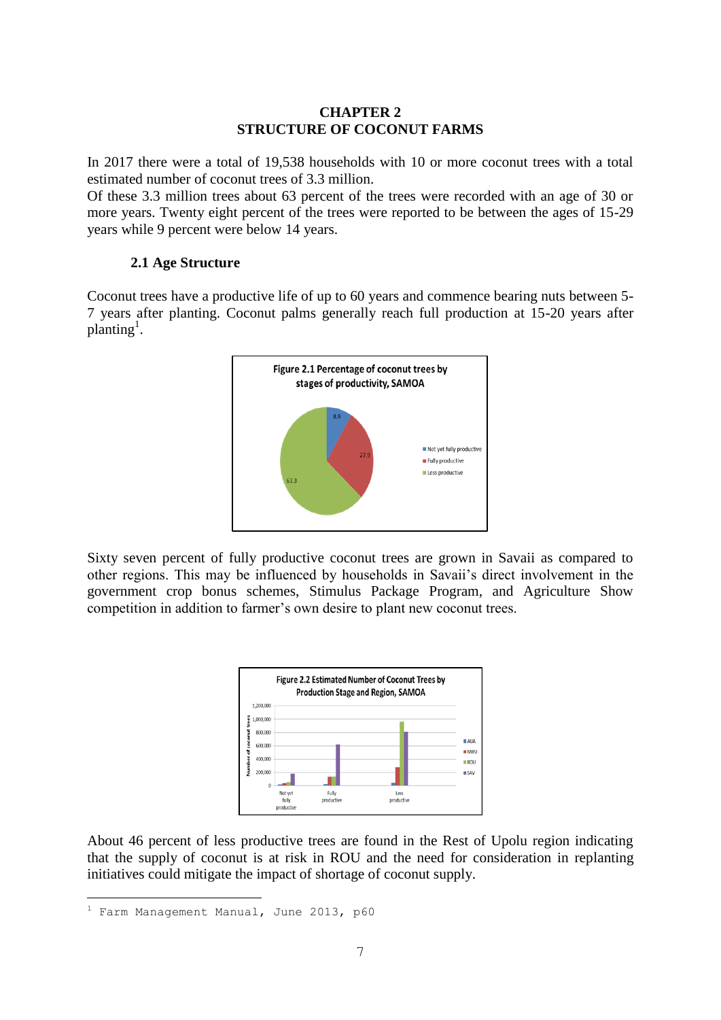## **CHAPTER 2 STRUCTURE OF COCONUT FARMS**

In 2017 there were a total of 19,538 households with 10 or more coconut trees with a total estimated number of coconut trees of 3.3 million.

Of these 3.3 million trees about 63 percent of the trees were recorded with an age of 30 or more years. Twenty eight percent of the trees were reported to be between the ages of 15-29 years while 9 percent were below 14 years.

## **2.1 Age Structure**

Coconut trees have a productive life of up to 60 years and commence bearing nuts between 5- 7 years after planting. Coconut palms generally reach full production at 15-20 years after  $\mu$ lanting<sup>1</sup>.



Sixty seven percent of fully productive coconut trees are grown in Savaii as compared to other regions. This may be influenced by households in Savaii's direct involvement in the government crop bonus schemes, Stimulus Package Program, and Agriculture Show competition in addition to farmer's own desire to plant new coconut trees.



About 46 percent of less productive trees are found in the Rest of Upolu region indicating that the supply of coconut is at risk in ROU and the need for consideration in replanting initiatives could mitigate the impact of shortage of coconut supply.

—<br>—

<sup>&</sup>lt;sup>1</sup> Farm Management Manual, June 2013, p60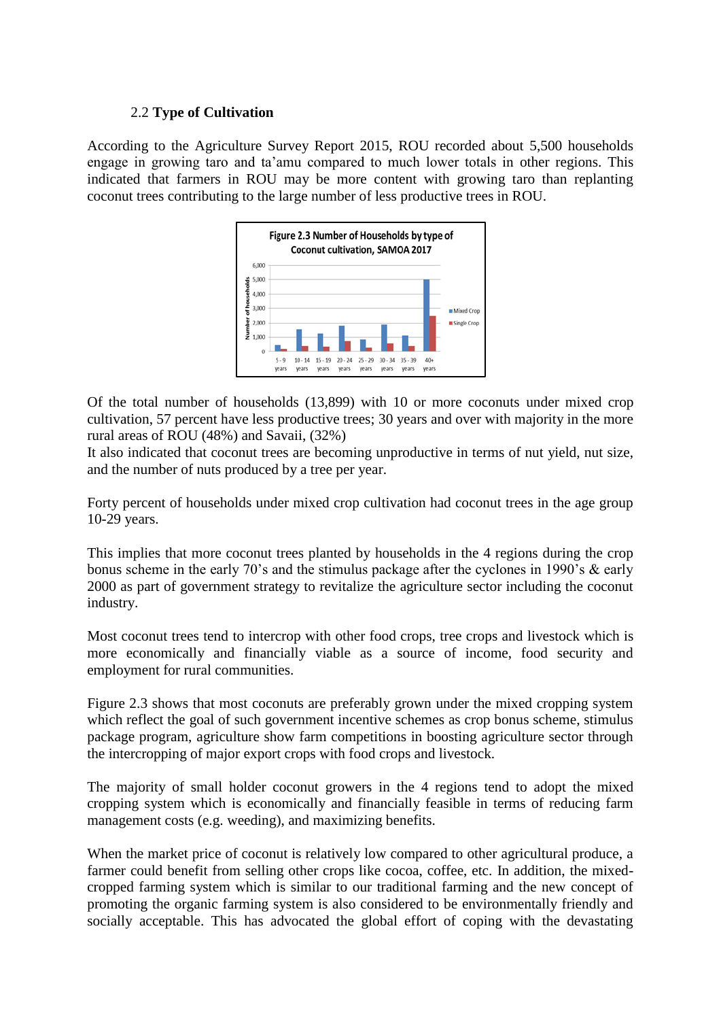## 2.2 **Type of Cultivation**

According to the Agriculture Survey Report 2015, ROU recorded about 5,500 households engage in growing taro and ta'amu compared to much lower totals in other regions. This indicated that farmers in ROU may be more content with growing taro than replanting coconut trees contributing to the large number of less productive trees in ROU.



Of the total number of households (13,899) with 10 or more coconuts under mixed crop cultivation, 57 percent have less productive trees; 30 years and over with majority in the more rural areas of ROU (48%) and Savaii, (32%)

It also indicated that coconut trees are becoming unproductive in terms of nut yield, nut size, and the number of nuts produced by a tree per year.

Forty percent of households under mixed crop cultivation had coconut trees in the age group 10-29 years.

This implies that more coconut trees planted by households in the 4 regions during the crop bonus scheme in the early 70's and the stimulus package after the cyclones in 1990's & early 2000 as part of government strategy to revitalize the agriculture sector including the coconut industry.

Most coconut trees tend to intercrop with other food crops, tree crops and livestock which is more economically and financially viable as a source of income, food security and employment for rural communities.

Figure 2.3 shows that most coconuts are preferably grown under the mixed cropping system which reflect the goal of such government incentive schemes as crop bonus scheme, stimulus package program, agriculture show farm competitions in boosting agriculture sector through the intercropping of major export crops with food crops and livestock.

The majority of small holder coconut growers in the 4 regions tend to adopt the mixed cropping system which is economically and financially feasible in terms of reducing farm management costs (e.g. weeding), and maximizing benefits.

When the market price of coconut is relatively low compared to other agricultural produce, a farmer could benefit from selling other crops like cocoa, coffee, etc. In addition, the mixedcropped farming system which is similar to our traditional farming and the new concept of promoting the organic farming system is also considered to be environmentally friendly and socially acceptable. This has advocated the global effort of coping with the devastating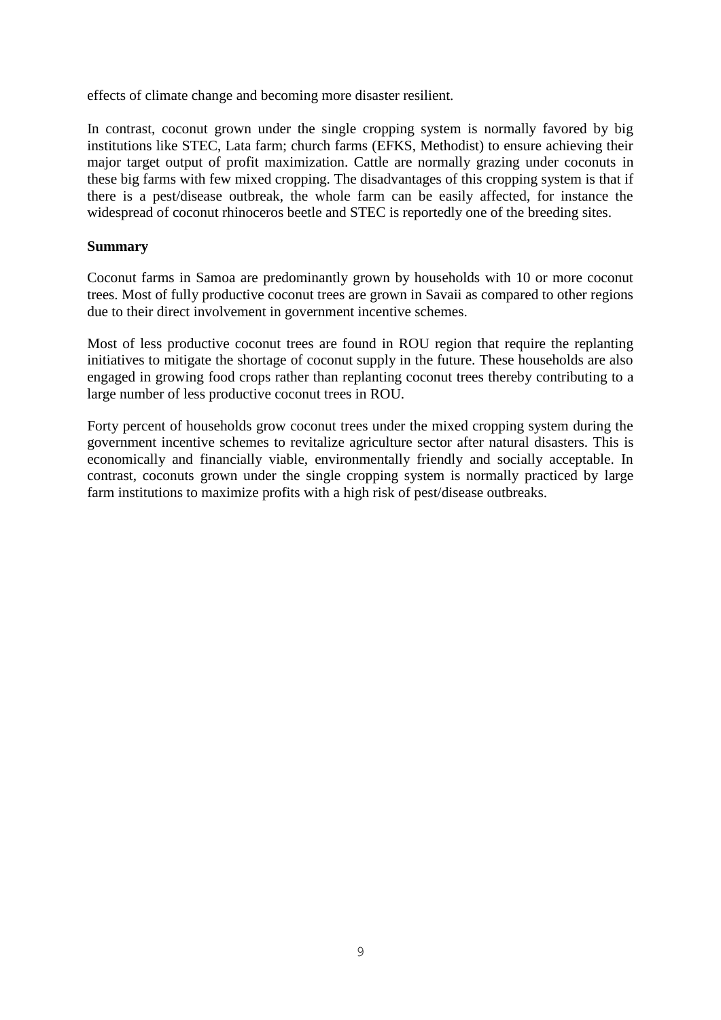effects of climate change and becoming more disaster resilient.

In contrast, coconut grown under the single cropping system is normally favored by big institutions like STEC, Lata farm; church farms (EFKS, Methodist) to ensure achieving their major target output of profit maximization. Cattle are normally grazing under coconuts in these big farms with few mixed cropping. The disadvantages of this cropping system is that if there is a pest/disease outbreak, the whole farm can be easily affected, for instance the widespread of coconut rhinoceros beetle and STEC is reportedly one of the breeding sites.

## **Summary**

Coconut farms in Samoa are predominantly grown by households with 10 or more coconut trees. Most of fully productive coconut trees are grown in Savaii as compared to other regions due to their direct involvement in government incentive schemes.

Most of less productive coconut trees are found in ROU region that require the replanting initiatives to mitigate the shortage of coconut supply in the future. These households are also engaged in growing food crops rather than replanting coconut trees thereby contributing to a large number of less productive coconut trees in ROU.

Forty percent of households grow coconut trees under the mixed cropping system during the government incentive schemes to revitalize agriculture sector after natural disasters. This is economically and financially viable, environmentally friendly and socially acceptable. In contrast, coconuts grown under the single cropping system is normally practiced by large farm institutions to maximize profits with a high risk of pest/disease outbreaks.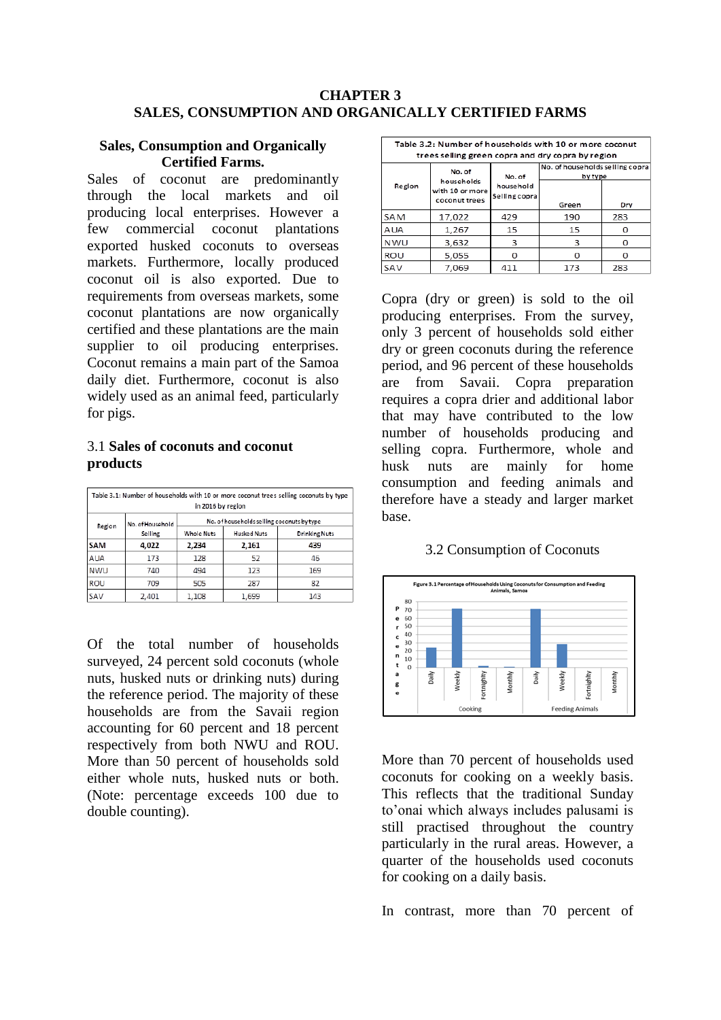#### **CHAPTER 3 SALES, CONSUMPTION AND ORGANICALLY CERTIFIED FARMS**

#### **Sales, Consumption and Organically Certified Farms.**

Sales of coconut are predominantly through the local markets and oil producing local enterprises. However a few commercial coconut plantations exported husked coconuts to overseas markets. Furthermore, locally produced coconut oil is also exported. Due to requirements from overseas markets, some coconut plantations are now organically certified and these plantations are the main supplier to oil producing enterprises. Coconut remains a main part of the Samoa daily diet. Furthermore, coconut is also widely used as an animal feed, particularly for pigs.

### 3.1 **Sales of coconuts and coconut products**

| Table 3.1: Number of households with 10 or more coconut trees selling coconuts by type<br>in 2016 by region |                             |                                            |                    |                      |  |
|-------------------------------------------------------------------------------------------------------------|-----------------------------|--------------------------------------------|--------------------|----------------------|--|
| Region                                                                                                      | No. of Household<br>Selling | No. of households selling coconuts by type |                    |                      |  |
|                                                                                                             |                             | <b>Whole Nuts</b>                          | <b>Husked Nuts</b> | <b>Drinking Nuts</b> |  |
| SAM                                                                                                         | 4,022                       | 2,234                                      | 2,161              | 439                  |  |
| <b>AUA</b>                                                                                                  | 173                         | 128                                        | 52                 | 46                   |  |
| <b>NWU</b>                                                                                                  | 740                         | 494                                        | 123                | 169                  |  |
| <b>ROU</b>                                                                                                  | 709                         | 505                                        | 287                | 82                   |  |
| SAV                                                                                                         | 2,401                       | 1,108                                      | 1,699              | 143                  |  |

Of the total number of households surveyed, 24 percent sold coconuts (whole nuts, husked nuts or drinking nuts) during the reference period. The majority of these households are from the Savaii region accounting for 60 percent and 18 percent respectively from both NWU and ROU. More than 50 percent of households sold either whole nuts, husked nuts or both. (Note: percentage exceeds 100 due to double counting).

| Table 3.2: Number of households with 10 or more coconut<br>trees selling green copra and dry copra by region |                                  |                     |                                            |     |  |
|--------------------------------------------------------------------------------------------------------------|----------------------------------|---------------------|--------------------------------------------|-----|--|
| Region                                                                                                       | No. of<br>households             | No. of<br>household | No. of households selling copra<br>by type |     |  |
|                                                                                                              | with 10 or more<br>coconut trees | Selling copra       | Green                                      | Dry |  |
| <b>SAM</b>                                                                                                   | 17,022                           | 429                 | 190                                        | 283 |  |
| AUA                                                                                                          | 1.267                            | 15                  | 15                                         |     |  |
| <b>NWU</b>                                                                                                   | 3,632                            | 3                   | 3                                          | Ω   |  |
| ROU                                                                                                          | 5,055                            |                     | Ω                                          |     |  |
| SAV                                                                                                          | 7,069                            | 411                 | 173                                        | 283 |  |

Copra (dry or green) is sold to the oil producing enterprises. From the survey, only 3 percent of households sold either dry or green coconuts during the reference period, and 96 percent of these households are from Savaii. Copra preparation requires a copra drier and additional labor that may have contributed to the low number of households producing and selling copra. Furthermore, whole and husk nuts are mainly for home consumption and feeding animals and therefore have a steady and larger market base.

#### 3.2 Consumption of Coconuts



More than 70 percent of households used coconuts for cooking on a weekly basis. This reflects that the traditional Sunday to'onai which always includes palusami is still practised throughout the country particularly in the rural areas. However, a quarter of the households used coconuts for cooking on a daily basis.

In contrast, more than 70 percent of